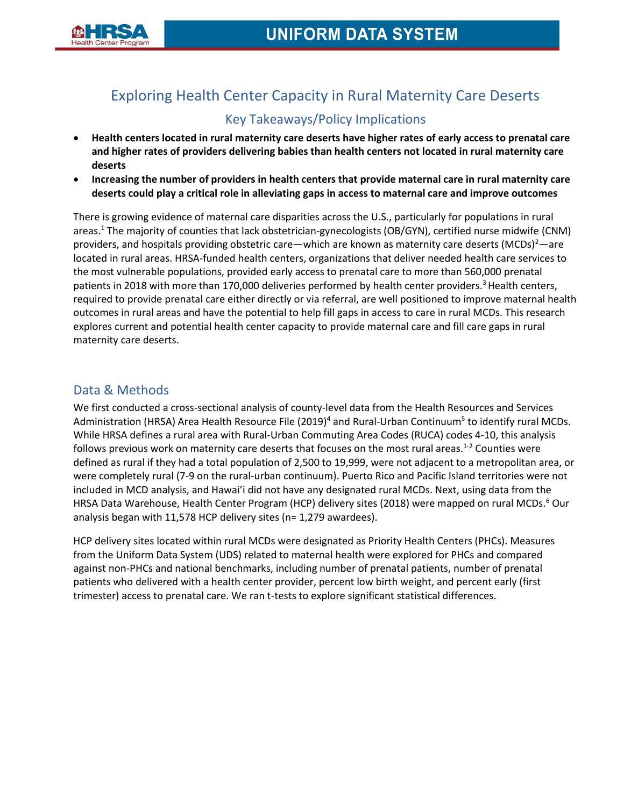

# Exploring Health Center Capacity in Rural Maternity Care Deserts Key Takeaways/Policy Implications

- **Health centers located in rural maternity care deserts have higher rates of early access to prenatal care and higher rates of providers delivering babies than health centers not located in rural maternity care deserts**
- **Increasing the number of providers in health centers that provide maternal care in rural maternity care deserts could play a critical role in alleviating gaps in access to maternal care and improve outcomes**

There is growing evidence of maternal care disparities across the U.S., particularly for populations in rural areas.<sup>1</sup> The majority of counties that lack obstetrician-gynecologists (OB/GYN), certified nurse midwife (CNM) providers, and hospitals providing obstetric care—which are known as maternity care deserts (MCDs)<sup>2</sup>—are located in rural areas. HRSA-funded health centers, organizations that deliver needed health care services to the most vulnerable populations, provided early access to prenatal care to more than 560,000 prenatal patients in 2018 with more than 170,000 deliveries performed by health center providers.<sup>3</sup> Health centers, required to provide prenatal care either directly or via referral, are well positioned to improve maternal health outcomes in rural areas and have the potential to help fill gaps in access to care in rural MCDs. This research explores current and potential health center capacity to provide maternal care and fill care gaps in rural maternity care deserts.

# Data & Methods

We first conducted a cross-sectional analysis of county-level data from the Health Resources and Services Administration (HRSA) Area Health Resource File (2019)<sup>4</sup> and Rural-Urban Continuum<sup>5</sup> to identify rural MCDs. While HRSA defines a rural area with Rural-Urban Commuting Area Codes (RUCA) codes 4-10, this analysis follows previous work on maternity care deserts that focuses on the most rural areas.<sup>1-2</sup> Counties were defined as rural if they had a total population of 2,500 to 19,999, were not adjacent to a metropolitan area, or were completely rural (7-9 on the rural-urban continuum). Puerto Rico and Pacific Island territories were not included in MCD analysis, and Hawai'i did not have any designated rural MCDs. Next, using data from the HRSA Data Warehouse, Health Center Program (HCP) delivery sites (2018) were mapped on rural MCDs.<sup>6</sup> Our analysis began with 11,578 HCP delivery sites (n= 1,279 awardees).

HCP delivery sites located within rural MCDs were designated as Priority Health Centers (PHCs). Measures from the Uniform Data System (UDS) related to maternal health were explored for PHCs and compared against non-PHCs and national benchmarks, including number of prenatal patients, number of prenatal patients who delivered with a health center provider, percent low birth weight, and percent early (first trimester) access to prenatal care. We ran t-tests to explore significant statistical differences.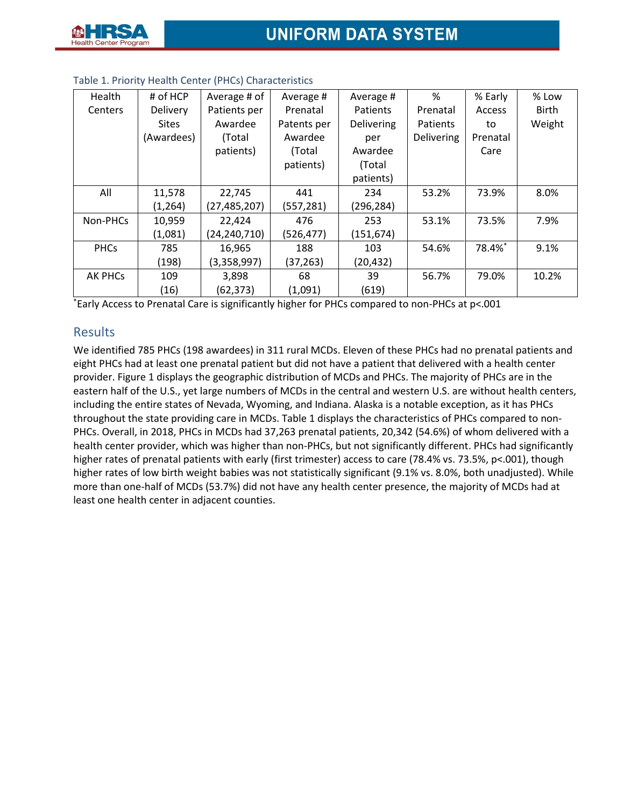| Health         | # of HCP     | Average # of   | Average #   | Average #  | %          | % Early  | % Low        |
|----------------|--------------|----------------|-------------|------------|------------|----------|--------------|
| Centers        | Delivery     | Patients per   | Prenatal    | Patients   | Prenatal   | Access   | <b>Birth</b> |
|                | <b>Sites</b> | Awardee        | Patents per | Delivering | Patients   | to       | Weight       |
|                | (Awardees)   | (Total         | Awardee     | per        | Delivering | Prenatal |              |
|                |              | patients)      | (Total      | Awardee    |            | Care     |              |
|                |              |                | patients)   | (Total     |            |          |              |
|                |              |                |             | patients)  |            |          |              |
| All            | 11,578       | 22,745         | 441         | 234        | 53.2%      | 73.9%    | 8.0%         |
|                | (1, 264)     | (27, 485, 207) | (557, 281)  | (296, 284) |            |          |              |
| Non-PHCs       | 10,959       | 22,424         | 476         | 253        | 53.1%      | 73.5%    | 7.9%         |
|                | (1,081)      | (24, 240, 710) | (526, 477)  | (151, 674) |            |          |              |
| <b>PHCs</b>    | 785          | 16,965         | 188         | 103        | 54.6%      | 78.4%*   | 9.1%         |
|                | (198)        | (3,358,997)    | (37,263)    | (20, 432)  |            |          |              |
| <b>AK PHCs</b> | 109          | 3,898          | 68          | 39         | 56.7%      | 79.0%    | 10.2%        |
|                | (16)         | (62,373)       | (1,091)     | (619)      |            |          |              |

### Table 1. Priority Health Center (PHCs) Characteristics

\*Early Access to Prenatal Care is significantly higher for PHCs compared to non-PHCs at p<.001

## Results

We identified 785 PHCs (198 awardees) in 311 rural MCDs. Eleven of these PHCs had no prenatal patients and eight PHCs had at least one prenatal patient but did not have a patient that delivered with a health center provider. Figure 1 displays the geographic distribution of MCDs and PHCs. The majority of PHCs are in the eastern half of the U.S., yet large numbers of MCDs in the central and western U.S. are without health centers, including the entire states of Nevada, Wyoming, and Indiana. Alaska is a notable exception, as it has PHCs throughout the state providing care in MCDs. Table 1 displays the characteristics of PHCs compared to non-PHCs. Overall, in 2018, PHCs in MCDs had 37,263 prenatal patients, 20,342 (54.6%) of whom delivered with a health center provider, which was higher than non-PHCs, but not significantly different. PHCs had significantly higher rates of prenatal patients with early (first trimester) access to care (78.4% vs. 73.5%, p<.001), though higher rates of low birth weight babies was not statistically significant (9.1% vs. 8.0%, both unadjusted). While more than one-half of MCDs (53.7%) did not have any health center presence, the majority of MCDs had at least one health center in adjacent counties.